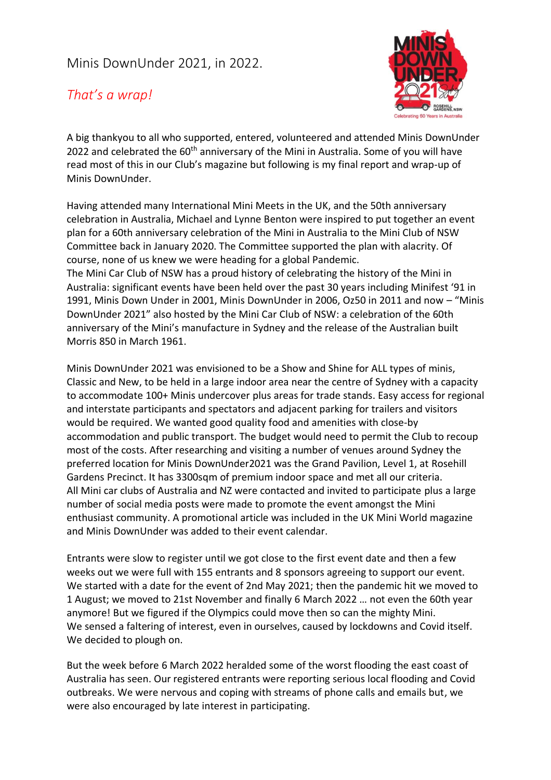## Minis DownUnder 2021, in 2022.

## *That's a wrap!*



A big thankyou to all who supported, entered, volunteered and attended Minis DownUnder 2022 and celebrated the 60<sup>th</sup> anniversary of the Mini in Australia. Some of you will have read most of this in our Club's magazine but following is my final report and wrap-up of Minis DownUnder.

Having attended many International Mini Meets in the UK, and the 50th anniversary celebration in Australia, Michael and Lynne Benton were inspired to put together an event plan for a 60th anniversary celebration of the Mini in Australia to the Mini Club of NSW Committee back in January 2020. The Committee supported the plan with alacrity. Of course, none of us knew we were heading for a global Pandemic. The Mini Car Club of NSW has a proud history of celebrating the history of the Mini in Australia: significant events have been held over the past 30 years including Minifest '91 in 1991, Minis Down Under in 2001, Minis DownUnder in 2006, Oz50 in 2011 and now – "Minis DownUnder 2021" also hosted by the Mini Car Club of NSW: a celebration of the 60th anniversary of the Mini's manufacture in Sydney and the release of the Australian built Morris 850 in March 1961.

Minis DownUnder 2021 was envisioned to be a Show and Shine for ALL types of minis, Classic and New, to be held in a large indoor area near the centre of Sydney with a capacity to accommodate 100+ Minis undercover plus areas for trade stands. Easy access for regional and interstate participants and spectators and adjacent parking for trailers and visitors would be required. We wanted good quality food and amenities with close-by accommodation and public transport. The budget would need to permit the Club to recoup most of the costs. After researching and visiting a number of venues around Sydney the preferred location for Minis DownUnder2021 was the Grand Pavilion, Level 1, at Rosehill Gardens Precinct. It has 3300sqm of premium indoor space and met all our criteria. All Mini car clubs of Australia and NZ were contacted and invited to participate plus a large number of social media posts were made to promote the event amongst the Mini enthusiast community. A promotional article was included in the UK Mini World magazine and Minis DownUnder was added to their event calendar.

Entrants were slow to register until we got close to the first event date and then a few weeks out we were full with 155 entrants and 8 sponsors agreeing to support our event. We started with a date for the event of 2nd May 2021; then the pandemic hit we moved to 1 August; we moved to 21st November and finally 6 March 2022 … not even the 60th year anymore! But we figured if the Olympics could move then so can the mighty Mini. We sensed a faltering of interest, even in ourselves, caused by lockdowns and Covid itself. We decided to plough on.

But the week before 6 March 2022 heralded some of the worst flooding the east coast of Australia has seen. Our registered entrants were reporting serious local flooding and Covid outbreaks. We were nervous and coping with streams of phone calls and emails but, we were also encouraged by late interest in participating.